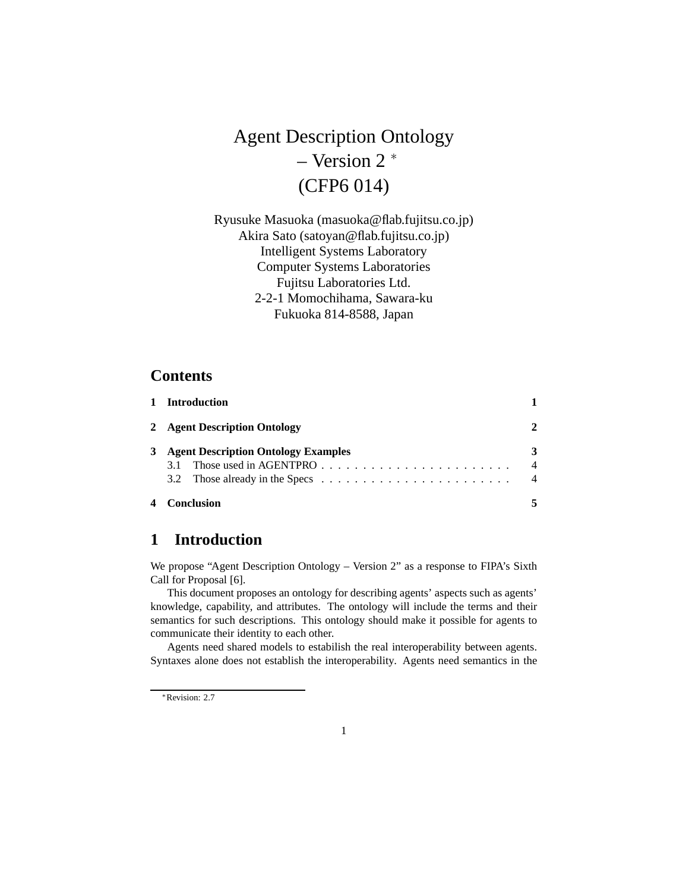# Agent Description Ontology – Version 2 <sup>∗</sup> (CFP6 014)

Ryusuke Masuoka (masuoka@flab.fujitsu.co.jp) Akira Sato (satoyan@flab.fujitsu.co.jp) Intelligent Systems Laboratory Computer Systems Laboratories Fujitsu Laboratories Ltd. 2-2-1 Momochihama, Sawara-ku Fukuoka 814-8588, Japan

## **Contents**

|   | 1 Introduction                             |                |
|---|--------------------------------------------|----------------|
|   | 2 Agent Description Ontology               |                |
| 3 | <b>Agent Description Ontology Examples</b> | 3              |
|   | 3.1                                        | $\overline{4}$ |
|   |                                            | $\overline{4}$ |
|   | <b>Conclusion</b>                          |                |

# **1 Introduction**

We propose "Agent Description Ontology – Version 2" as a response to FIPA's Sixth Call for Proposal [6].

This document proposes an ontology for describing agents' aspects such as agents' knowledge, capability, and attributes. The ontology will include the terms and their semantics for such descriptions. This ontology should make it possible for agents to communicate their identity to each other.

Agents need shared models to estabilish the real interoperability between agents. Syntaxes alone does not establish the interoperability. Agents need semantics in the

<sup>∗</sup>Revision: 2.7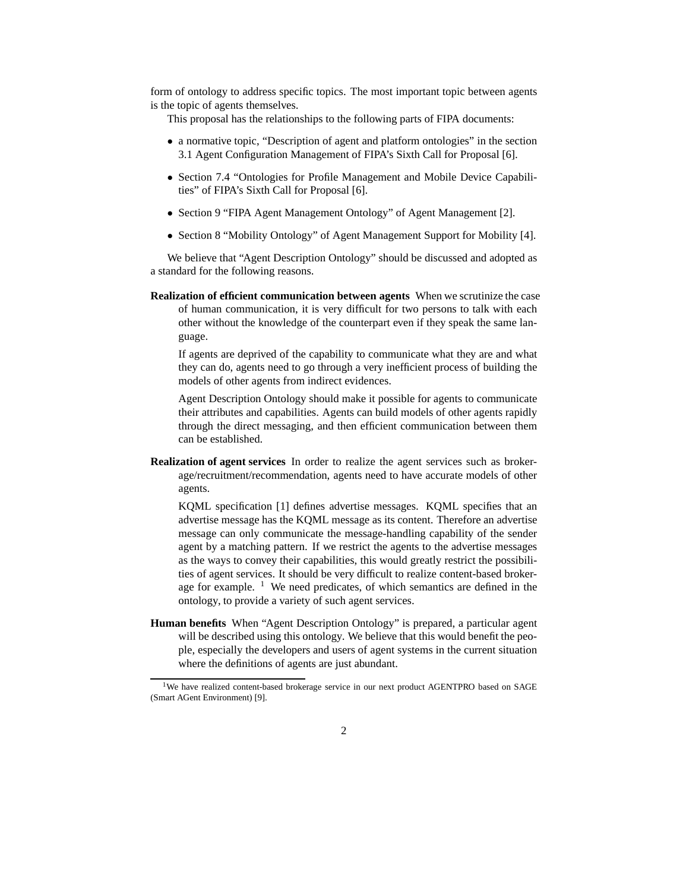form of ontology to address specific topics. The most important topic between agents is the topic of agents themselves.

This proposal has the relationships to the following parts of FIPA documents:

- a normative topic, "Description of agent and platform ontologies" in the section 3.1 Agent Configuration Management of FIPA's Sixth Call for Proposal [6].
- Section 7.4 "Ontologies for Profile Management and Mobile Device Capabilities" of FIPA's Sixth Call for Proposal [6].
- Section 9 "FIPA Agent Management Ontology" of Agent Management [2].
- Section 8 "Mobility Ontology" of Agent Management Support for Mobility [4].

We believe that "Agent Description Ontology" should be discussed and adopted as a standard for the following reasons.

**Realization of efficient communication between agents** When we scrutinize the case of human communication, it is very difficult for two persons to talk with each other without the knowledge of the counterpart even if they speak the same language.

If agents are deprived of the capability to communicate what they are and what they can do, agents need to go through a very inefficient process of building the models of other agents from indirect evidences.

Agent Description Ontology should make it possible for agents to communicate their attributes and capabilities. Agents can build models of other agents rapidly through the direct messaging, and then efficient communication between them can be established.

**Realization of agent services** In order to realize the agent services such as brokerage/recruitment/recommendation, agents need to have accurate models of other agents.

KQML specification [1] defines advertise messages. KQML specifies that an advertise message has the KQML message as its content. Therefore an advertise message can only communicate the message-handling capability of the sender agent by a matching pattern. If we restrict the agents to the advertise messages as the ways to convey their capabilities, this would greatly restrict the possibilities of agent services. It should be very difficult to realize content-based brokerage for example.  $1$  We need predicates, of which semantics are defined in the ontology, to provide a variety of such agent services.

**Human benefits** When "Agent Description Ontology" is prepared, a particular agent will be described using this ontology. We believe that this would benefit the people, especially the developers and users of agent systems in the current situation where the definitions of agents are just abundant.

<sup>&</sup>lt;sup>1</sup>We have realized content-based brokerage service in our next product AGENTPRO based on SAGE (Smart AGent Environment) [9].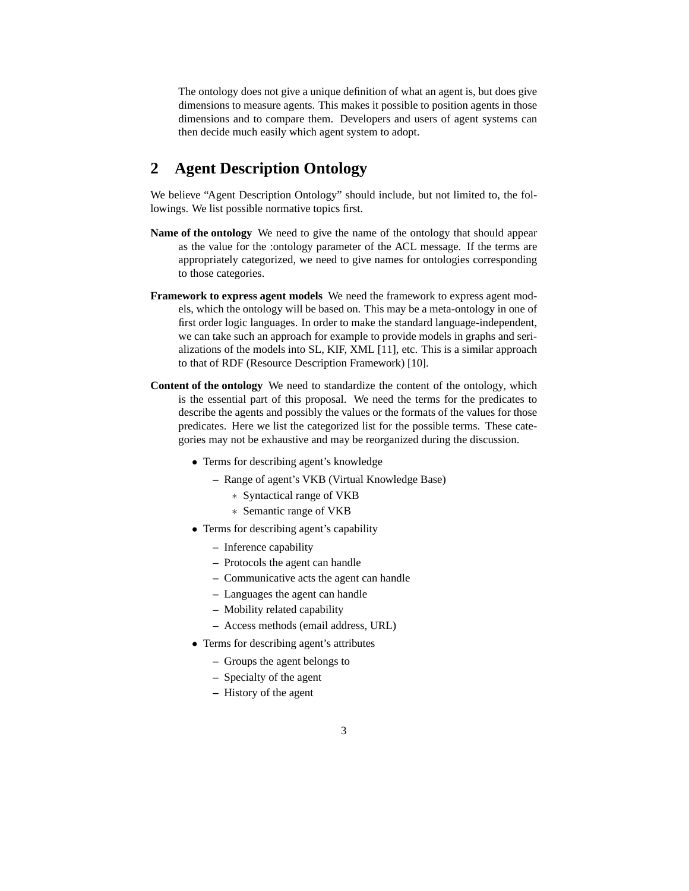The ontology does not give a unique definition of what an agent is, but does give dimensions to measure agents. This makes it possible to position agents in those dimensions and to compare them. Developers and users of agent systems can then decide much easily which agent system to adopt.

# **2 Agent Description Ontology**

We believe "Agent Description Ontology" should include, but not limited to, the followings. We list possible normative topics first.

- **Name of the ontology** We need to give the name of the ontology that should appear as the value for the :ontology parameter of the ACL message. If the terms are appropriately categorized, we need to give names for ontologies corresponding to those categories.
- **Framework to express agent models** We need the framework to express agent models, which the ontology will be based on. This may be a meta-ontology in one of first order logic languages. In order to make the standard language-independent, we can take such an approach for example to provide models in graphs and serializations of the models into SL, KIF, XML [11], etc. This is a similar approach to that of RDF (Resource Description Framework) [10].
- **Content of the ontology** We need to standardize the content of the ontology, which is the essential part of this proposal. We need the terms for the predicates to describe the agents and possibly the values or the formats of the values for those predicates. Here we list the categorized list for the possible terms. These categories may not be exhaustive and may be reorganized during the discussion.
	- Terms for describing agent's knowledge
		- **–** Range of agent's VKB (Virtual Knowledge Base)
			- ∗ Syntactical range of VKB
			- ∗ Semantic range of VKB
	- Terms for describing agent's capability
		- **–** Inference capability
		- **–** Protocols the agent can handle
		- **–** Communicative acts the agent can handle
		- **–** Languages the agent can handle
		- **–** Mobility related capability
		- **–** Access methods (email address, URL)
	- Terms for describing agent's attributes
		- **–** Groups the agent belongs to
		- **–** Specialty of the agent
		- **–** History of the agent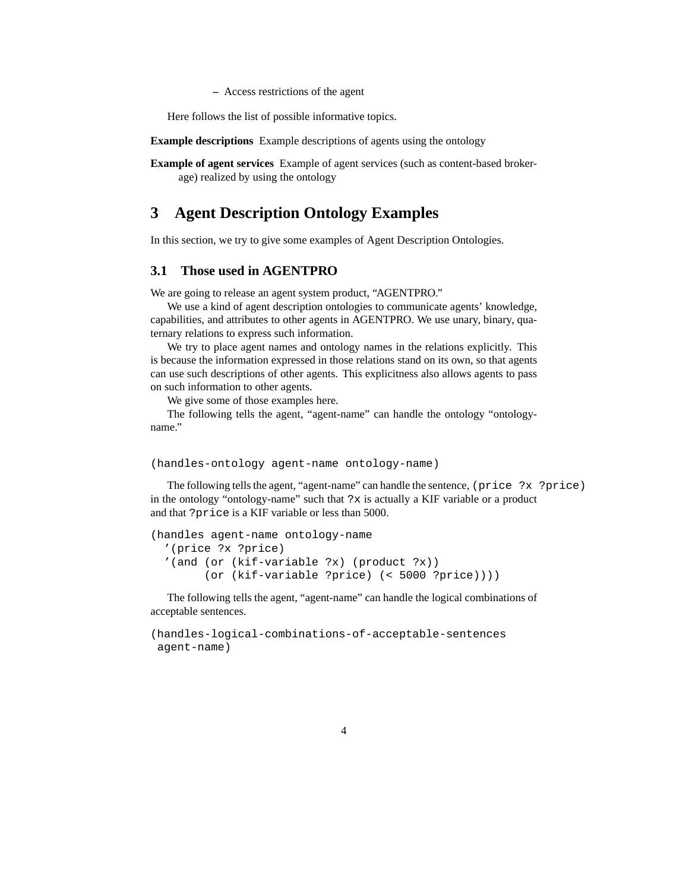**–** Access restrictions of the agent

Here follows the list of possible informative topics.

**Example descriptions** Example descriptions of agents using the ontology

**Example of agent services** Example of agent services (such as content-based brokerage) realized by using the ontology

#### **3 Agent Description Ontology Examples**

In this section, we try to give some examples of Agent Description Ontologies.

#### **3.1 Those used in AGENTPRO**

We are going to release an agent system product, "AGENTPRO."

We use a kind of agent description ontologies to communicate agents' knowledge, capabilities, and attributes to other agents in AGENTPRO. We use unary, binary, quaternary relations to express such information.

We try to place agent names and ontology names in the relations explicitly. This is because the information expressed in those relations stand on its own, so that agents can use such descriptions of other agents. This explicitness also allows agents to pass on such information to other agents.

We give some of those examples here.

The following tells the agent, "agent-name" can handle the ontology "ontologyname."

```
(handles-ontology agent-name ontology-name)
```
The following tells the agent, "agent-name" can handle the sentence, (price ?x ?price) in the ontology "ontology-name" such that ?x is actually a KIF variable or a product and that ?price is a KIF variable or less than 5000.

```
(handles agent-name ontology-name
  '(price ?x ?price)
  '(and (or (kif-variable ?x) (product ?x))
        (or (kif-variable ?price) (< 5000 ?price))))
```
The following tells the agent, "agent-name" can handle the logical combinations of acceptable sentences.

```
(handles-logical-combinations-of-acceptable-sentences
agent-name)
```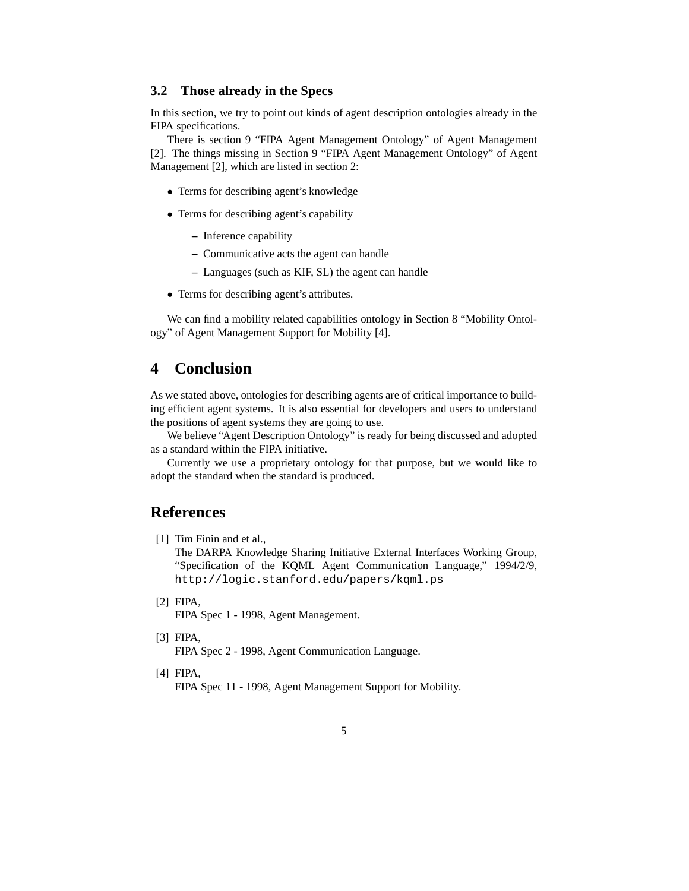#### **3.2 Those already in the Specs**

In this section, we try to point out kinds of agent description ontologies already in the FIPA specifications.

There is section 9 "FIPA Agent Management Ontology" of Agent Management [2]. The things missing in Section 9 "FIPA Agent Management Ontology" of Agent Management [2], which are listed in section 2:

- Terms for describing agent's knowledge
- Terms for describing agent's capability
	- **–** Inference capability
	- **–** Communicative acts the agent can handle
	- **–** Languages (such as KIF, SL) the agent can handle
- Terms for describing agent's attributes.

We can find a mobility related capabilities ontology in Section 8 "Mobility Ontology" of Agent Management Support for Mobility [4].

# **4 Conclusion**

As we stated above, ontologies for describing agents are of critical importance to building efficient agent systems. It is also essential for developers and users to understand the positions of agent systems they are going to use.

We believe "Agent Description Ontology" is ready for being discussed and adopted as a standard within the FIPA initiative.

Currently we use a proprietary ontology for that purpose, but we would like to adopt the standard when the standard is produced.

### **References**

[1] Tim Finin and et al.,

The DARPA Knowledge Sharing Initiative External Interfaces Working Group, "Specification of the KQML Agent Communication Language," 1994/2/9, http://logic.stanford.edu/papers/kqml.ps

[2] FIPA,

FIPA Spec 1 - 1998, Agent Management.

[3] FIPA,

FIPA Spec 2 - 1998, Agent Communication Language.

[4] FIPA,

FIPA Spec 11 - 1998, Agent Management Support for Mobility.